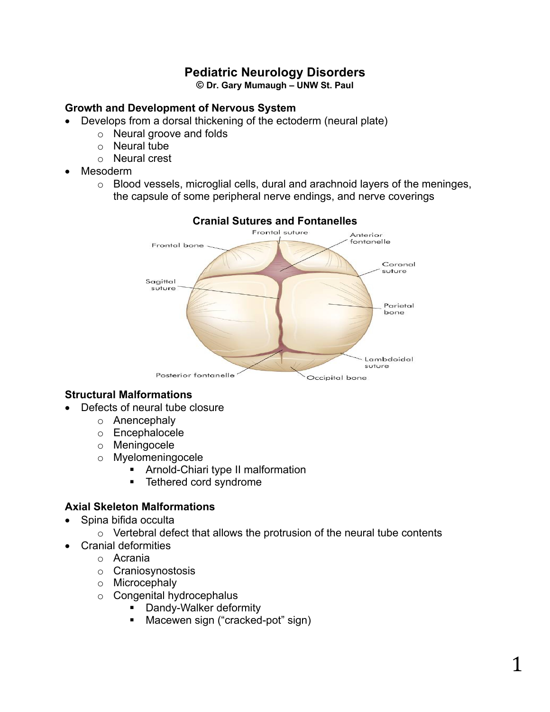# **Pediatric Neurology Disorders**

**© Dr. Gary Mumaugh – UNW St. Paul**

# **Growth and Development of Nervous System**

- Develops from a dorsal thickening of the ectoderm (neural plate)
	- o Neural groove and folds
	- o Neural tube
	- o Neural crest
- Mesoderm
	- o Blood vessels, microglial cells, dural and arachnoid layers of the meninges, the capsule of some peripheral nerve endings, and nerve coverings



# **Cranial Sutures and Fontanelles**

# **Structural Malformations**

- Defects of neural tube closure
	- o Anencephaly
	- o Encephalocele
	- o Meningocele
	- o Myelomeningocele
		- § Arnold-Chiari type II malformation
		- Tethered cord syndrome

## **Axial Skeleton Malformations**

- Spina bifida occulta
	- $\circ$  Vertebral defect that allows the protrusion of the neural tube contents
	- Cranial deformities
		- o Acrania
		- o Craniosynostosis
		- o Microcephaly
		- o Congenital hydrocephalus
			- Dandy-Walker deformity
				- § Macewen sign ("cracked-pot" sign)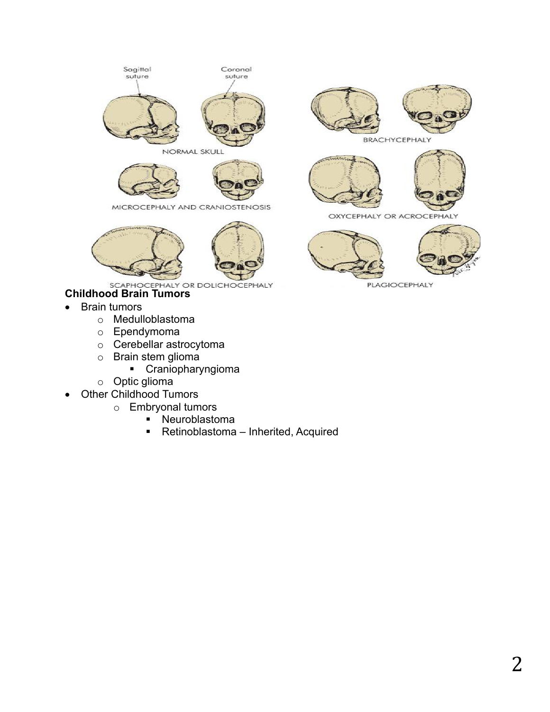

NORMAL SKULL



MICROCEPHALY AND CRANIOSTENOSIS



SCAPHOCEPHALY OR DOLICHOCEPHALY<br>**Childhood Brain Tumors** 

- Brain tumors
	- o Medulloblastoma
	- o Ependymoma
	- o Cerebellar astrocytoma
	- o Brain stem glioma
		- § Craniopharyngioma
	- o Optic glioma
- Other Childhood Tumors
	- o Embryonal tumors
		- § Neuroblastoma
		- Retinoblastoma Inherited, Acquired





BRACHYCEPHALY





OXYCEPHALY OR ACROCEPHALY





**PLAGIOCEPHALY**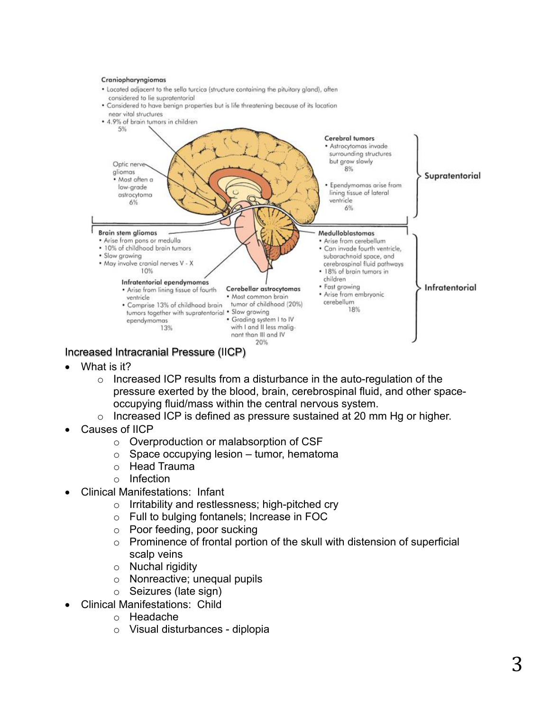#### Craniopharyngiomas

- . Located adjacent to the sella turcica (structure containing the pituitary gland), often considered to lie supratentorial
- . Considered to have benign properties but is life threatening because of its location near vital structures
- 4.9% of brain tumors in children



Increased Intracranial Pressure (IICP)

- What is it?
	- $\circ$  Increased ICP results from a disturbance in the auto-regulation of the pressure exerted by the blood, brain, cerebrospinal fluid, and other spaceoccupying fluid/mass within the central nervous system.
	- o Increased ICP is defined as pressure sustained at 20 mm Hg or higher.
- Causes of IICP
	- o Overproduction or malabsorption of CSF
	- $\circ$  Space occupying lesion tumor, hematoma
	- o Head Trauma
	- o Infection
- Clinical Manifestations: Infant
	- o Irritability and restlessness; high-pitched cry
	- o Full to bulging fontanels; Increase in FOC
	- o Poor feeding, poor sucking
	- o Prominence of frontal portion of the skull with distension of superficial scalp veins
	- o Nuchal rigidity
	- o Nonreactive; unequal pupils
	- o Seizures (late sign)
- Clinical Manifestations: Child
	- o Headache
	- o Visual disturbances diplopia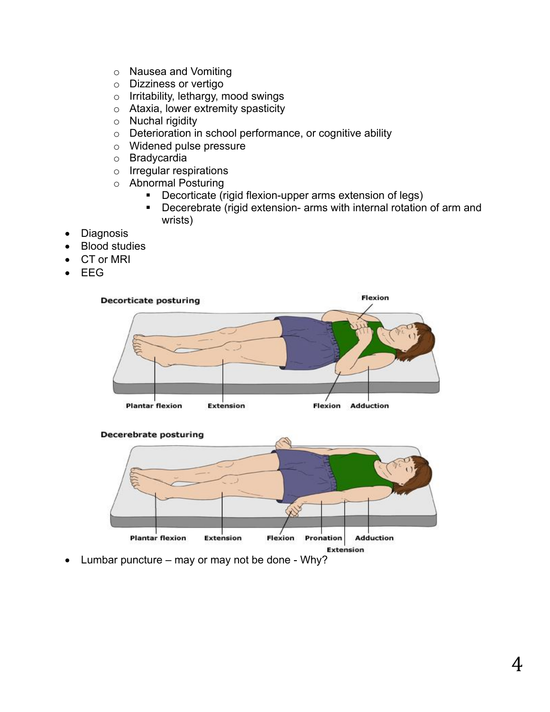- o Nausea and Vomiting
- o Dizziness or vertigo
- o Irritability, lethargy, mood swings
- o Ataxia, lower extremity spasticity
- o Nuchal rigidity
- o Deterioration in school performance, or cognitive ability
- o Widened pulse pressure
- o Bradycardia
- o Irregular respirations
- o Abnormal Posturing
	- Decorticate (rigid flexion-upper arms extension of legs)
	- Decerebrate (rigid extension- arms with internal rotation of arm and wrists)
- Diagnosis
- Blood studies
- CT or MRI
- EEG





• Lumbar puncture – may or may not be done - Why?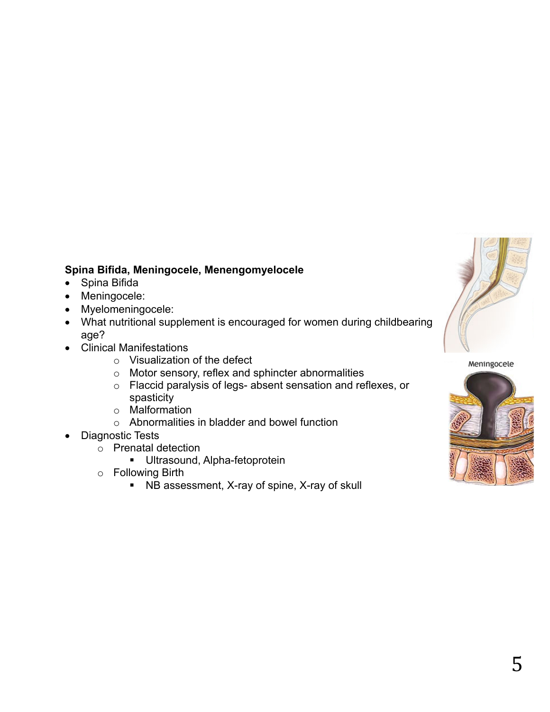

# **Spina Bifida, Meningocele, Menengomyelocele**

- Spina Bifida
- Meningocele:
- Myelomeningocele:
- What nutritional supplement is encouraged for women during childbearing age?
- Clinical Manifestations
	- o Visualization of the defect
	- o Motor sensory, reflex and sphincter abnormalities
	- o Flaccid paralysis of legs- absent sensation and reflexes, or spasticity
	- o Malformation
	- o Abnormalities in bladder and bowel function
- Diagnostic Tests
	- o Prenatal detection
		- **■** Ultrasound, Alpha-fetoprotein
	- o Following Birth
		- NB assessment, X-ray of spine, X-ray of skull

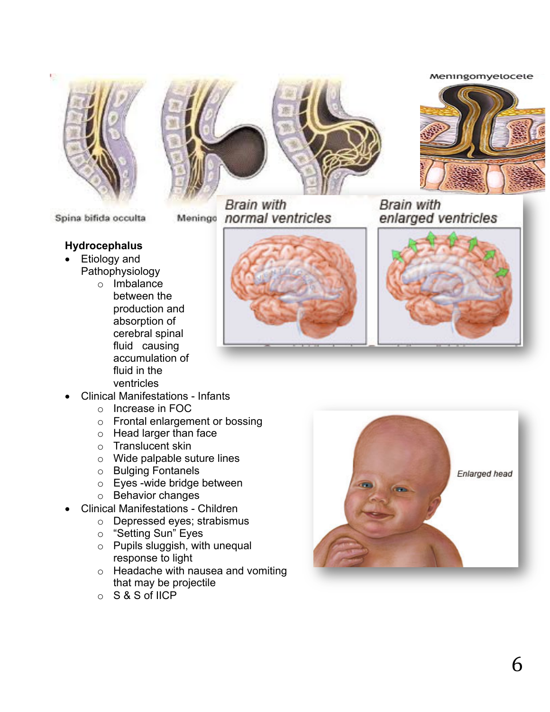#### Meningomyelocele



Spina bifida occulta

### **Hydrocephalus**

- Etiology and Pathophysiology
	- o Imbalance between the production and absorption of cerebral spinal fluid causing accumulation of fluid in the ventricles



**Brain with** Menings normal ventricles **Brain with** enlarged ventricles





- Clinical Manifestations Infants
	- o Increase in FOC
	- o Frontal enlargement or bossing
	- o Head larger than face
	- o Translucent skin
	- o Wide palpable suture lines
	- o Bulging Fontanels
	- o Eyes -wide bridge between
	- o Behavior changes
- Clinical Manifestations Children
	- o Depressed eyes; strabismus
	- o "Setting Sun" Eyes
	- o Pupils sluggish, with unequal response to light
	- o Headache with nausea and vomiting that may be projectile
	- o S & S of IICP

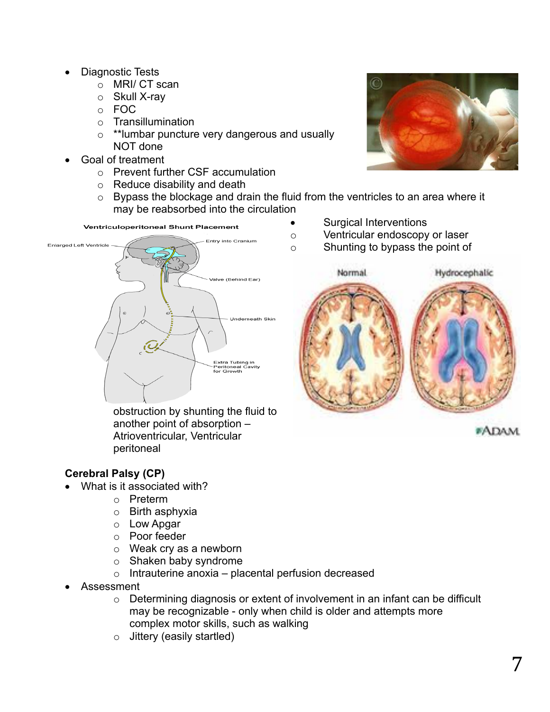- Diagnostic Tests
	- o MRI/ CT scan
	- o Skull X-ray
	- o FOC
	- o Transillumination
	- o \*\*lumbar puncture very dangerous and usually NOT done
- Goal of treatment
	- o Prevent further CSF accumulation
	- o Reduce disability and death
	- o Bypass the blockage and drain the fluid from the ventricles to an area where it may be reabsorbed into the circulation

Ventriculoperitoneal Shunt Placement



obstruction by shunting the fluid to another point of absorption – Atrioventricular, Ventricular peritoneal

# n

- Surgical Interventions
- o Ventricular endoscopy or laser
- o Shunting to bypass the point of



**#ADAM** 

# **Cerebral Palsy (CP)**

- What is it associated with?
	- o Preterm
	- o Birth asphyxia
	- o Low Apgar
	- o Poor feeder
	- o Weak cry as a newborn
	- o Shaken baby syndrome
	- $\circ$  Intrauterine anoxia placental perfusion decreased
- Assessment
	- o Determining diagnosis or extent of involvement in an infant can be difficult may be recognizable - only when child is older and attempts more complex motor skills, such as walking
	- $\circ$  Jittery (easily startled)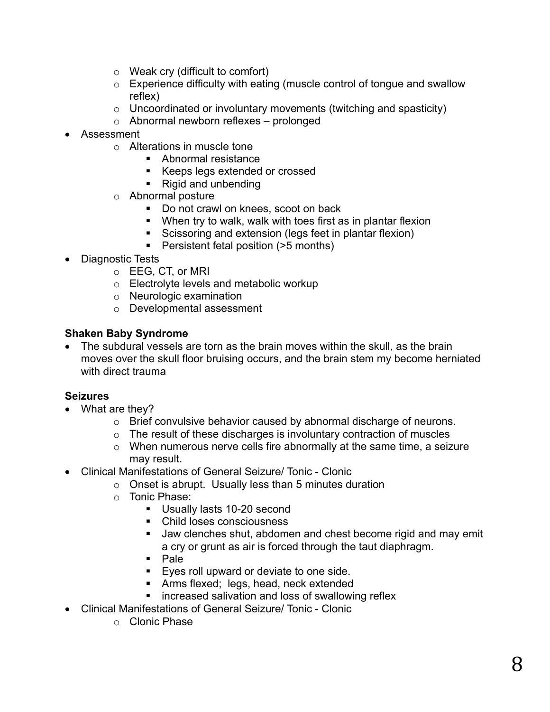- o Weak cry (difficult to comfort)
- o Experience difficulty with eating (muscle control of tongue and swallow reflex)
- o Uncoordinated or involuntary movements (twitching and spasticity)
- o Abnormal newborn reflexes prolonged
- Assessment
	- o Alterations in muscle tone
		- Abnormal resistance
		- Keeps legs extended or crossed
		- Rigid and unbending
	- o Abnormal posture
		- Do not crawl on knees, scoot on back
		- § When try to walk, walk with toes first as in plantar flexion
		- Scissoring and extension (legs feet in plantar flexion)
		- Persistent fetal position (>5 months)
- Diagnostic Tests
	- o EEG, CT, or MRI
	- o Electrolyte levels and metabolic workup
	- o Neurologic examination
	- o Developmental assessment

# **Shaken Baby Syndrome**

• The subdural vessels are torn as the brain moves within the skull, as the brain moves over the skull floor bruising occurs, and the brain stem my become herniated with direct trauma

# **Seizures**

- What are they?
	- o Brief convulsive behavior caused by abnormal discharge of neurons.
	- $\circ$  The result of these discharges is involuntary contraction of muscles
	- o When numerous nerve cells fire abnormally at the same time, a seizure may result.
- Clinical Manifestations of General Seizure/ Tonic Clonic
	- $\circ$  Onset is abrupt. Usually less than 5 minutes duration
	- o Tonic Phase:
		- Usually lasts 10-20 second
		- Child loses consciousness
		- **Jaw clenches shut, abdomen and chest become rigid and may emit** a cry or grunt as air is forced through the taut diaphragm.
		- § Pale
		- Eyes roll upward or deviate to one side.
		- § Arms flexed; legs, head, neck extended
		- increased salivation and loss of swallowing reflex
- Clinical Manifestations of General Seizure/ Tonic Clonic
	- o Clonic Phase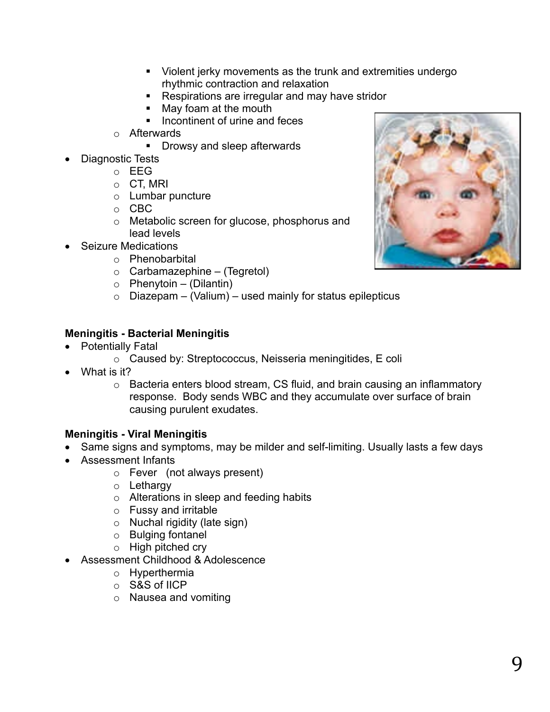- Violent jerky movements as the trunk and extremities undergo rhythmic contraction and relaxation
- Respirations are irregular and may have stridor
- **■** May foam at the mouth
- Incontinent of urine and feces
- o Afterwards
	- Drowsy and sleep afterwards
- Diagnostic Tests
	- o EEG
	- o CT, MRI
	- o Lumbar puncture
	- o CBC
	- o Metabolic screen for glucose, phosphorus and lead levels
- Seizure Medications
	- o Phenobarbital
	- $\circ$  Carbamazephine (Tegretol)
	- $\circ$  Phenytoin (Dilantin)
	- $\circ$  Diazepam (Valium) used mainly for status epilepticus

# **Meningitis - Bacterial Meningitis**

- Potentially Fatal
	- o Caused by: Streptococcus, Neisseria meningitides, E coli
- What is it?
	- o Bacteria enters blood stream, CS fluid, and brain causing an inflammatory response. Body sends WBC and they accumulate over surface of brain causing purulent exudates.

# **Meningitis - Viral Meningitis**

- Same signs and symptoms, may be milder and self-limiting. Usually lasts a few days
- Assessment Infants
	- o Fever (not always present)
	- o Lethargy
	- o Alterations in sleep and feeding habits
	- o Fussy and irritable
	- o Nuchal rigidity (late sign)
	- o Bulging fontanel
	- o High pitched cry
- Assessment Childhood & Adolescence
	- o Hyperthermia
	- o S&S of IICP
	- o Nausea and vomiting